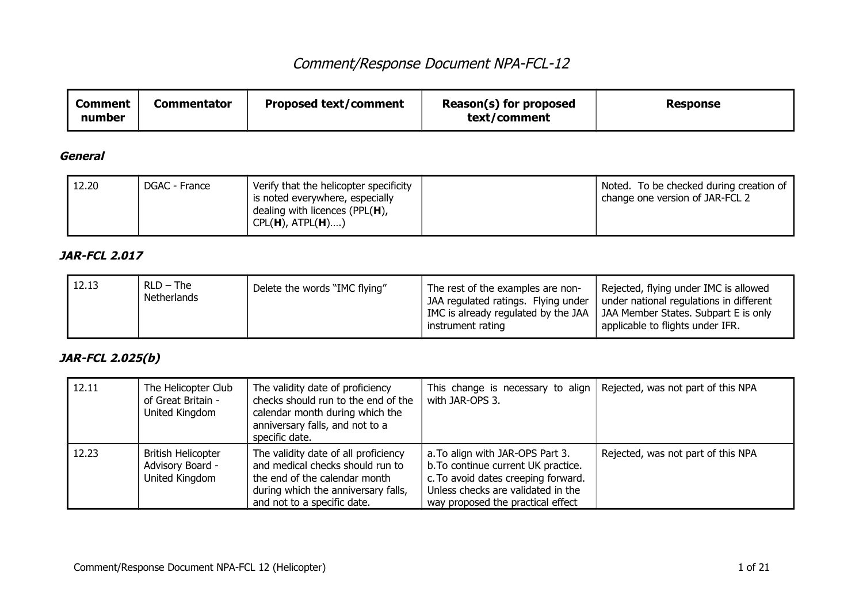| <b>Comment</b><br>number | <b>Commentator</b> | <b>Proposed text/comment</b> | Reason(s) for proposed<br>text/comment | Response |
|--------------------------|--------------------|------------------------------|----------------------------------------|----------|
|--------------------------|--------------------|------------------------------|----------------------------------------|----------|

#### **General**

| 12.20<br>Verify that the helicopter specificity<br>DGAC - France<br>is noted everywhere, especially<br>dealing with licences (PPL $(H)$ ,<br>$CPL(H)$ , $ATPL(H)$ ) | Noted. To be checked during creation of<br><sup>1</sup> change one version of JAR-FCL 2 |
|---------------------------------------------------------------------------------------------------------------------------------------------------------------------|-----------------------------------------------------------------------------------------|
|---------------------------------------------------------------------------------------------------------------------------------------------------------------------|-----------------------------------------------------------------------------------------|

### **JAR-FCL 2.017**

| 12.13 | $RLD - The$<br>Netherlands | Delete the words "IMC flying" | The rest of the examples are non-<br>JAA regulated ratings. Flying under<br>instrument rating | Rejected, flying under IMC is allowed<br>under national regulations in different<br>IMC is already regulated by the JAA $\parallel$ JAA Member States. Subpart E is only<br>applicable to flights under IFR. |
|-------|----------------------------|-------------------------------|-----------------------------------------------------------------------------------------------|--------------------------------------------------------------------------------------------------------------------------------------------------------------------------------------------------------------|
|-------|----------------------------|-------------------------------|-----------------------------------------------------------------------------------------------|--------------------------------------------------------------------------------------------------------------------------------------------------------------------------------------------------------------|

### **JAR-FCL 2.025(b)**

| 12.11 | The Helicopter Club<br>of Great Britain -<br>United Kingdom     | The validity date of proficiency<br>checks should run to the end of the<br>calendar month during which the<br>anniversary falls, and not to a<br>specific date.                 | This change is necessary to align $\vert$ Rejected, was not part of this NPA<br>with JAR-OPS 3.                                                                                           |                                    |
|-------|-----------------------------------------------------------------|---------------------------------------------------------------------------------------------------------------------------------------------------------------------------------|-------------------------------------------------------------------------------------------------------------------------------------------------------------------------------------------|------------------------------------|
| 12.23 | <b>British Helicopter</b><br>Advisory Board -<br>United Kingdom | The validity date of all proficiency<br>and medical checks should run to<br>the end of the calendar month<br>during which the anniversary falls,<br>and not to a specific date. | a. To align with JAR-OPS Part 3.<br>b. To continue current UK practice.<br>c. To avoid dates creeping forward.<br>Unless checks are validated in the<br>way proposed the practical effect | Rejected, was not part of this NPA |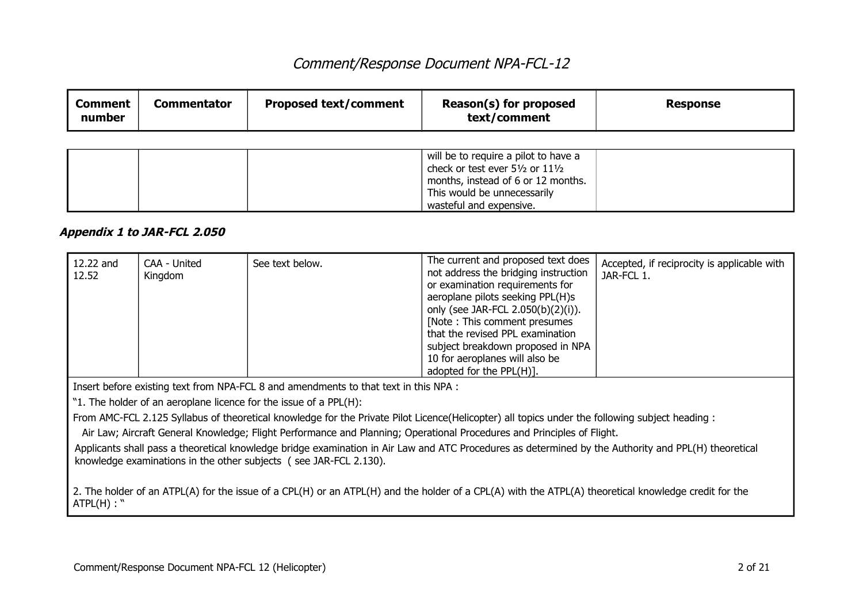| Reason(s) for proposed<br><b>Proposed text/comment</b><br>Commentator<br>Comment<br>Response<br>text/comment<br>number |
|------------------------------------------------------------------------------------------------------------------------|
|------------------------------------------------------------------------------------------------------------------------|

|  | will be to require a pilot to have a<br>check or test ever 51/2 or 111/2<br>months, instead of 6 or 12 months. |  |
|--|----------------------------------------------------------------------------------------------------------------|--|
|  | This would be unnecessarily                                                                                    |  |
|  | wasteful and expensive.                                                                                        |  |

#### **Appendix 1 to JAR-FCL 2.050**

| 12.22 and<br>12.52 | CAA - United<br>Kingdom | See text below. | The current and proposed text does<br>not address the bridging instruction<br>or examination requirements for<br>aeroplane pilots seeking PPL(H)s<br>only (see JAR-FCL 2.050(b)(2)(i)).<br>[Note: This comment presumes]<br>that the revised PPL examination<br>subject breakdown proposed in NPA<br>10 for aeroplanes will also be | Accepted, if reciprocity is applicable with<br>JAR-FCL 1. |
|--------------------|-------------------------|-----------------|-------------------------------------------------------------------------------------------------------------------------------------------------------------------------------------------------------------------------------------------------------------------------------------------------------------------------------------|-----------------------------------------------------------|
|                    |                         |                 | adopted for the PPL(H)].                                                                                                                                                                                                                                                                                                            |                                                           |

Insert before existing text from NPA-FCL 8 and amendments to that text in this NPA :

"1. The holder of an aeroplane licence for the issue of a PPL(H):

From AMC-FCL 2.125 Syllabus of theoretical knowledge for the Private Pilot Licence(Helicopter) all topics under the following subject heading :

Air Law; Aircraft General Knowledge; Flight Performance and Planning; Operational Procedures and Principles of Flight.

Applicants shall pass a theoretical knowledge bridge examination in Air Law and ATC Procedures as determined by the Authority and PPL(H) theoretical knowledge examinations in the other subjects ( see JAR-FCL 2.130).

2. The holder of an ATPL(A) for the issue of a CPL(H) or an ATPL(H) and the holder of a CPL(A) with the ATPL(A) theoretical knowledge credit for the  $ATPL(H)$ :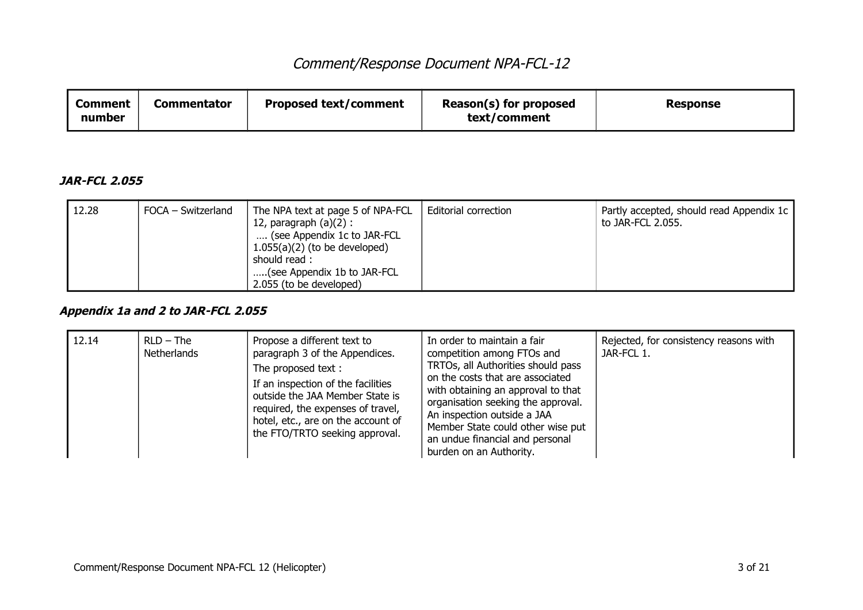| <b>Comment</b> | Commentator                  | Reason(s) for proposed | <b>Response</b> |
|----------------|------------------------------|------------------------|-----------------|
| number         | <b>Proposed text/comment</b> | text/comment           |                 |

#### **JAR-FCL 2.055**

| 12.28 | FOCA – Switzerland | The NPA text at page 5 of NPA-FCL<br>12, paragraph $(a)(2)$ :<br>(see Appendix 1c to JAR-FCL<br>$1.055(a)(2)$ (to be developed)<br>should read:<br>(see Appendix 1b to JAR-FCL<br>2.055 (to be developed) | Editorial correction | Partly accepted, should read Appendix 1c<br>to JAR-FCL 2.055. |
|-------|--------------------|-----------------------------------------------------------------------------------------------------------------------------------------------------------------------------------------------------------|----------------------|---------------------------------------------------------------|
|-------|--------------------|-----------------------------------------------------------------------------------------------------------------------------------------------------------------------------------------------------------|----------------------|---------------------------------------------------------------|

### **Appendix 1a and 2 to JAR-FCL 2.055**

| 12.14 | $RLD - The$<br><b>Netherlands</b> | Propose a different text to<br>paragraph 3 of the Appendices.<br>The proposed text:<br>If an inspection of the facilities<br>outside the JAA Member State is<br>required, the expenses of travel,<br>hotel, etc., are on the account of<br>the FTO/TRTO seeking approval. | In order to maintain a fair<br>competition among FTOs and<br>TRTOs, all Authorities should pass<br>on the costs that are associated<br>with obtaining an approval to that<br>organisation seeking the approval.<br>An inspection outside a JAA<br>Member State could other wise put<br>an undue financial and personal<br>burden on an Authority. | Rejected, for consistency reasons with<br>JAR-FCL 1. |
|-------|-----------------------------------|---------------------------------------------------------------------------------------------------------------------------------------------------------------------------------------------------------------------------------------------------------------------------|---------------------------------------------------------------------------------------------------------------------------------------------------------------------------------------------------------------------------------------------------------------------------------------------------------------------------------------------------|------------------------------------------------------|
|-------|-----------------------------------|---------------------------------------------------------------------------------------------------------------------------------------------------------------------------------------------------------------------------------------------------------------------------|---------------------------------------------------------------------------------------------------------------------------------------------------------------------------------------------------------------------------------------------------------------------------------------------------------------------------------------------------|------------------------------------------------------|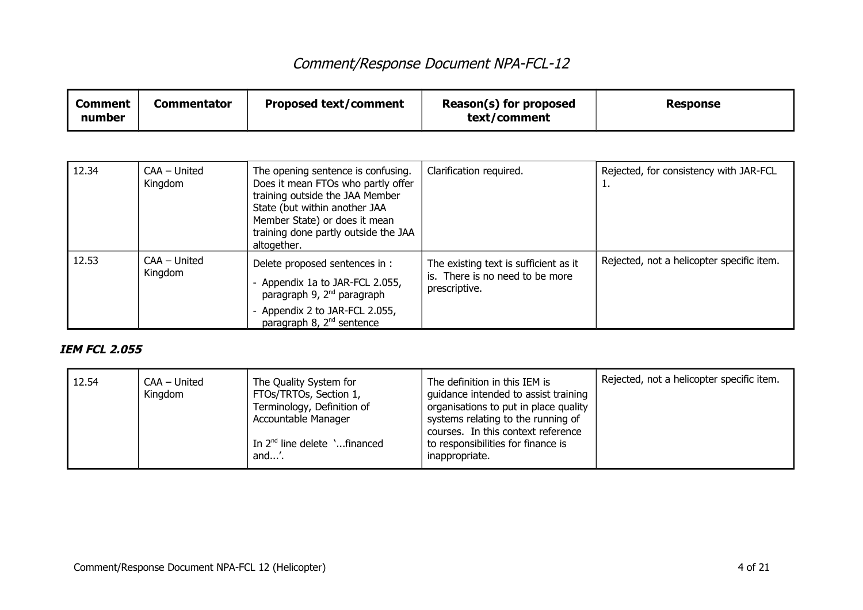| <b>Comment</b><br>number | <b>Commentator</b>      | <b>Proposed text/comment</b>                                                                                                                                                                                                         | Reason(s) for proposed<br>text/comment                                                    | <b>Response</b>                              |
|--------------------------|-------------------------|--------------------------------------------------------------------------------------------------------------------------------------------------------------------------------------------------------------------------------------|-------------------------------------------------------------------------------------------|----------------------------------------------|
|                          |                         |                                                                                                                                                                                                                                      |                                                                                           |                                              |
| 12.34                    | CAA - United<br>Kingdom | The opening sentence is confusing.<br>Does it mean FTOs who partly offer<br>training outside the JAA Member<br>State (but within another JAA<br>Member State) or does it mean<br>training done partly outside the JAA<br>altogether. | Clarification required.                                                                   | Rejected, for consistency with JAR-FCL<br>ı. |
| 12.53                    | CAA - United<br>Kingdom | Delete proposed sentences in :<br>- Appendix 1a to JAR-FCL 2.055,<br>paragraph 9, 2 <sup>nd</sup> paragraph<br>- Appendix 2 to JAR-FCL 2.055,<br>paragraph 8, 2 <sup>nd</sup> sentence                                               | The existing text is sufficient as it<br>is. There is no need to be more<br>prescriptive. | Rejected, not a helicopter specific item.    |

### **IEM FCL 2.055**

| 12.54 | CAA - United<br>Kingdom | The Quality System for<br>FTOs/TRTOs, Section 1,<br>Terminology, Definition of<br>Accountable Manager<br>In $2nd$ line delete $\cdot$ financed<br>and'. | The definition in this IEM is<br>quidance intended to assist training<br>organisations to put in place quality<br>systems relating to the running of<br>courses. In this context reference<br>to responsibilities for finance is<br>inappropriate. | Rejected, not a helicopter specific item. |
|-------|-------------------------|---------------------------------------------------------------------------------------------------------------------------------------------------------|----------------------------------------------------------------------------------------------------------------------------------------------------------------------------------------------------------------------------------------------------|-------------------------------------------|
|-------|-------------------------|---------------------------------------------------------------------------------------------------------------------------------------------------------|----------------------------------------------------------------------------------------------------------------------------------------------------------------------------------------------------------------------------------------------------|-------------------------------------------|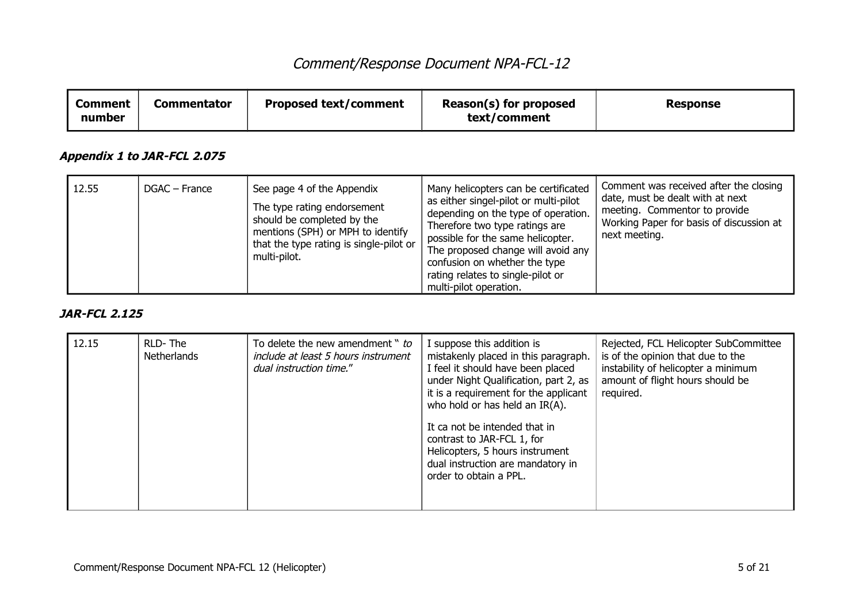| <b>Comment</b><br>number | <b>Commentator</b>          | <b>Proposed text/comment</b>                                                                                                                                                            | Reason(s) for proposed<br>text/comment                                                                                                                                                                                                                                                                                            | <b>Response</b>                                                                                                                                                          |
|--------------------------|-----------------------------|-----------------------------------------------------------------------------------------------------------------------------------------------------------------------------------------|-----------------------------------------------------------------------------------------------------------------------------------------------------------------------------------------------------------------------------------------------------------------------------------------------------------------------------------|--------------------------------------------------------------------------------------------------------------------------------------------------------------------------|
|                          | Appendix 1 to JAR-FCL 2.075 |                                                                                                                                                                                         |                                                                                                                                                                                                                                                                                                                                   |                                                                                                                                                                          |
| 12.55                    | DGAC - France               | See page 4 of the Appendix<br>The type rating endorsement<br>should be completed by the<br>mentions (SPH) or MPH to identify<br>that the type rating is single-pilot or<br>multi-pilot. | Many helicopters can be certificated<br>as either singel-pilot or multi-pilot<br>depending on the type of operation.<br>Therefore two type ratings are<br>possible for the same helicopter.<br>The proposed change will avoid any<br>confusion on whether the type<br>rating relates to single-pilot or<br>multi-pilot operation. | Comment was received after the closing<br>date, must be dealt with at next<br>meeting. Commentor to provide<br>Working Paper for basis of discussion at<br>next meeting. |

#### **JAR-FCL 2.125**

| 12.15 | RLD-The<br><b>Netherlands</b> | To delete the new amendment " to<br>include at least 5 hours instrument<br>dual instruction time." | I suppose this addition is<br>mistakenly placed in this paragraph.<br>I feel it should have been placed<br>under Night Qualification, part 2, as<br>it is a requirement for the applicant<br>who hold or has held an IR(A). | Rejected, FCL Helicopter SubCommittee<br>is of the opinion that due to the<br>instability of helicopter a minimum<br>amount of flight hours should be<br>required. |
|-------|-------------------------------|----------------------------------------------------------------------------------------------------|-----------------------------------------------------------------------------------------------------------------------------------------------------------------------------------------------------------------------------|--------------------------------------------------------------------------------------------------------------------------------------------------------------------|
|       |                               |                                                                                                    | It ca not be intended that in<br>contrast to JAR-FCL 1, for<br>Helicopters, 5 hours instrument<br>dual instruction are mandatory in<br>order to obtain a PPL.                                                               |                                                                                                                                                                    |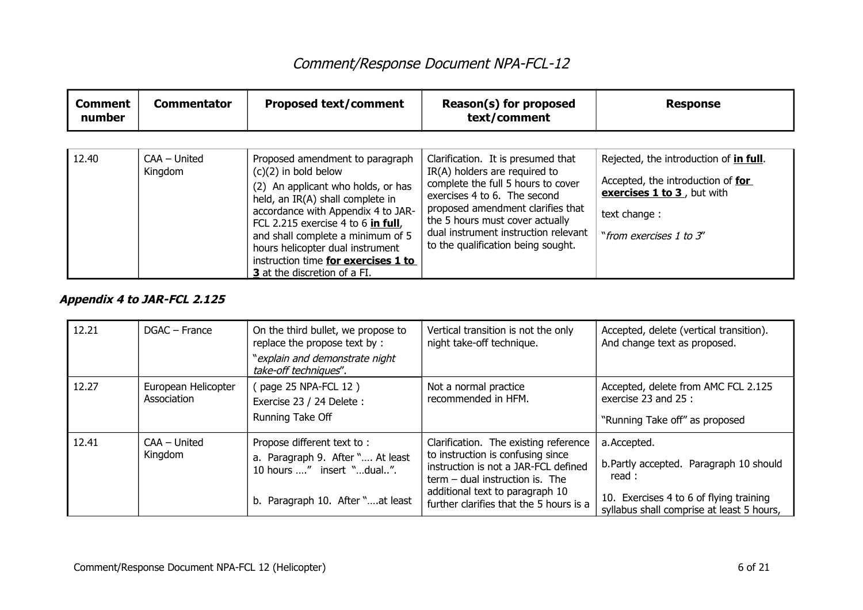| <b>Comment</b><br>number | <b>Commentator</b>        | <b>Proposed text/comment</b>                                                                                                                                                                                                                                                             | Reason(s) for proposed<br>text/comment                                                                                                                                                                                                                                                          | <b>Response</b>                                                                                                                                      |
|--------------------------|---------------------------|------------------------------------------------------------------------------------------------------------------------------------------------------------------------------------------------------------------------------------------------------------------------------------------|-------------------------------------------------------------------------------------------------------------------------------------------------------------------------------------------------------------------------------------------------------------------------------------------------|------------------------------------------------------------------------------------------------------------------------------------------------------|
| 12.40                    | $CAA - United$<br>Kingdom | Proposed amendment to paragraph<br>$(c)(2)$ in bold below<br>(2) An applicant who holds, or has<br>held, an IR(A) shall complete in<br>accordance with Appendix 4 to JAR-<br>FCL 2.215 exercise 4 to 6 in full,<br>and shall complete a minimum of 5<br>hours helicopter dual instrument | Clarification. It is presumed that<br>IR(A) holders are required to<br>complete the full 5 hours to cover<br>exercises 4 to 6. The second<br>proposed amendment clarifies that<br>the 5 hours must cover actually<br>dual instrument instruction relevant<br>to the qualification being sought. | Rejected, the introduction of in full.<br>Accepted, the introduction of for<br>exercises 1 to 3, but with<br>text change:<br>"from exercises 1 to 3" |
|                          |                           | instruction time for exercises 1 to<br>3 at the discretion of a FI.                                                                                                                                                                                                                      |                                                                                                                                                                                                                                                                                                 |                                                                                                                                                      |

### **Appendix 4 to JAR-FCL 2.125**

| 12.21 | DGAC - France                                                            | On the third bullet, we propose to<br>replace the propose text by:                                             | Vertical transition is not the only<br>night take-off technique.           | Accepted, delete (vertical transition).<br>And change text as proposed.              |
|-------|--------------------------------------------------------------------------|----------------------------------------------------------------------------------------------------------------|----------------------------------------------------------------------------|--------------------------------------------------------------------------------------|
|       |                                                                          | "explain and demonstrate night<br>take-off techniques".                                                        |                                                                            |                                                                                      |
| 12.27 | European Helicopter                                                      | (page 25 NPA-FCL 12)                                                                                           | Not a normal practice                                                      | Accepted, delete from AMC FCL 2.125                                                  |
|       | Association                                                              | Exercise 23 / 24 Delete :                                                                                      | recommended in HFM.                                                        | exercise 23 and 25 :                                                                 |
|       |                                                                          | Running Take Off                                                                                               |                                                                            | "Running Take off" as proposed                                                       |
| 12.41 | $CAA - United$                                                           | Propose different text to:                                                                                     | Clarification. The existing reference                                      | a. Accepted.                                                                         |
|       | Kingdom<br>a. Paragraph 9. After " At least<br>10 hours " insert "dual". | to instruction is confusing since<br>instruction is not a JAR-FCL defined<br>$term - dual instruction is. The$ | b. Partly accepted. Paragraph 10 should<br>read:                           |                                                                                      |
|       |                                                                          | b. Paragraph 10. After "at least                                                                               | additional text to paragraph 10<br>further clarifies that the 5 hours is a | 10. Exercises 4 to 6 of flying training<br>syllabus shall comprise at least 5 hours, |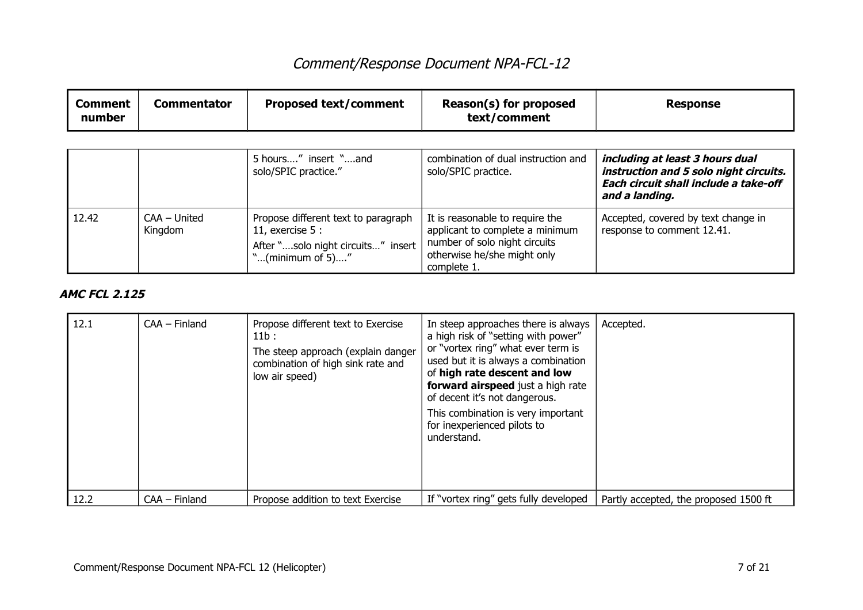| <b>Comment</b><br>number | <b>Commentator</b>        | <b>Proposed text/comment</b>                                                                                       | Reason(s) for proposed<br>text/comment                                                                                                            | <b>Response</b>                                                                                                                      |
|--------------------------|---------------------------|--------------------------------------------------------------------------------------------------------------------|---------------------------------------------------------------------------------------------------------------------------------------------------|--------------------------------------------------------------------------------------------------------------------------------------|
|                          |                           | 5 hours" insert "and<br>solo/SPIC practice."                                                                       | combination of dual instruction and<br>solo/SPIC practice.                                                                                        | including at least 3 hours dual<br>instruction and 5 solo night circuits.<br>Each circuit shall include a take-off<br>and a landing. |
| 12.42                    | $CAA - United$<br>Kingdom | Propose different text to paragraph<br>11, exercise $5:$<br>After "solo night circuits" insert<br>"(minimum of 5)" | It is reasonable to require the<br>applicant to complete a minimum<br>number of solo night circuits<br>otherwise he/she might only<br>complete 1. | Accepted, covered by text change in<br>response to comment 12.41.                                                                    |

### **AMC FCL 2.125**

| 12.1 | $CAA - Finland$ | Propose different text to Exercise<br>11b:<br>The steep approach (explain danger<br>combination of high sink rate and<br>low air speed) | In steep approaches there is always<br>a high risk of "setting with power"<br>or "vortex ring" what ever term is<br>used but it is always a combination<br>of high rate descent and low<br>forward airspeed just a high rate<br>of decent it's not dangerous.<br>This combination is very important<br>for inexperienced pilots to<br>understand. | Accepted.                             |
|------|-----------------|-----------------------------------------------------------------------------------------------------------------------------------------|---------------------------------------------------------------------------------------------------------------------------------------------------------------------------------------------------------------------------------------------------------------------------------------------------------------------------------------------------|---------------------------------------|
| 12.2 | $CAA - Finland$ | Propose addition to text Exercise                                                                                                       | If "vortex ring" gets fully developed                                                                                                                                                                                                                                                                                                             | Partly accepted, the proposed 1500 ft |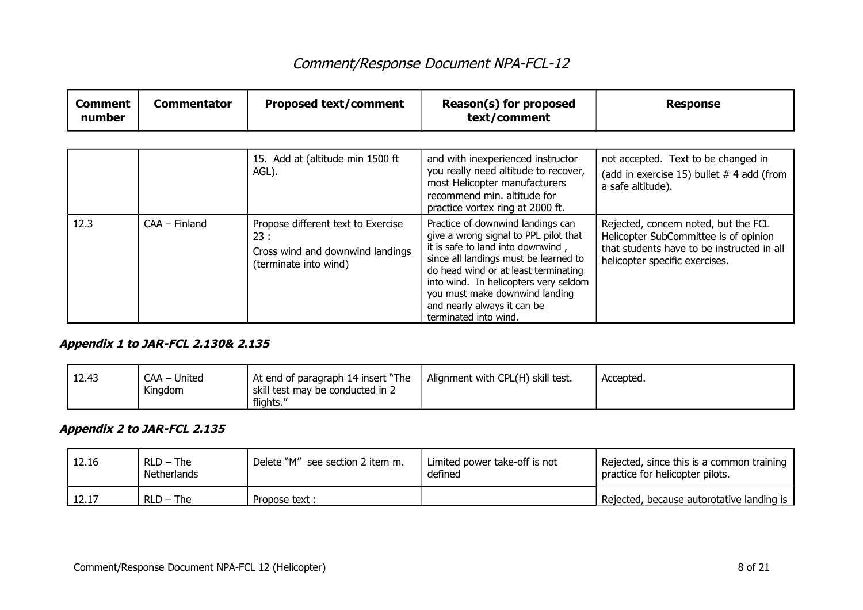| <b>Comment</b><br>number | <b>Commentator</b> | <b>Proposed text/comment</b>                                                                           | Reason(s) for proposed<br>text/comment                                                                                                                                                                                                                                                                                              | <b>Response</b>                                                                                                                                               |
|--------------------------|--------------------|--------------------------------------------------------------------------------------------------------|-------------------------------------------------------------------------------------------------------------------------------------------------------------------------------------------------------------------------------------------------------------------------------------------------------------------------------------|---------------------------------------------------------------------------------------------------------------------------------------------------------------|
|                          |                    |                                                                                                        |                                                                                                                                                                                                                                                                                                                                     |                                                                                                                                                               |
|                          |                    | 15. Add at (altitude min 1500 ft<br>AGL).                                                              | and with inexperienced instructor<br>you really need altitude to recover,<br>most Helicopter manufacturers<br>recommend min. altitude for<br>practice vortex ring at 2000 ft.                                                                                                                                                       | not accepted. Text to be changed in<br>(add in exercise 15) bullet # 4 add (from<br>a safe altitude).                                                         |
| 12.3                     | $CAA - Finland$    | Propose different text to Exercise<br>23:<br>Cross wind and downwind landings<br>(terminate into wind) | Practice of downwind landings can<br>give a wrong signal to PPL pilot that<br>it is safe to land into downwind,<br>since all landings must be learned to<br>do head wind or at least terminating<br>into wind. In helicopters very seldom<br>you must make downwind landing<br>and nearly always it can be<br>terminated into wind. | Rejected, concern noted, but the FCL<br>Helicopter SubCommittee is of opinion<br>that students have to be instructed in all<br>helicopter specific exercises. |

#### **Appendix 1 to JAR-FCL 2.130& 2.135**

| 12.43<br>CAA - United<br>Kingdom<br>flights." | Alignment with CPL(H) skill test.<br>1 At end of paragraph 14 insert "The<br>skill test may be conducted in 2 | Accepted. |
|-----------------------------------------------|---------------------------------------------------------------------------------------------------------------|-----------|
|-----------------------------------------------|---------------------------------------------------------------------------------------------------------------|-----------|

### **Appendix 2 to JAR-FCL 2.135**

| 12.16 | $RLD - The$<br>Netherlands | Delete "M" see section 2 item m. | Limited power take-off is not<br>defined | Rejected, since this is a common training<br>practice for helicopter pilots. |
|-------|----------------------------|----------------------------------|------------------------------------------|------------------------------------------------------------------------------|
| 12.17 | $RLD - The$                | Propose text :                   |                                          | Rejected, because autorotative landing is                                    |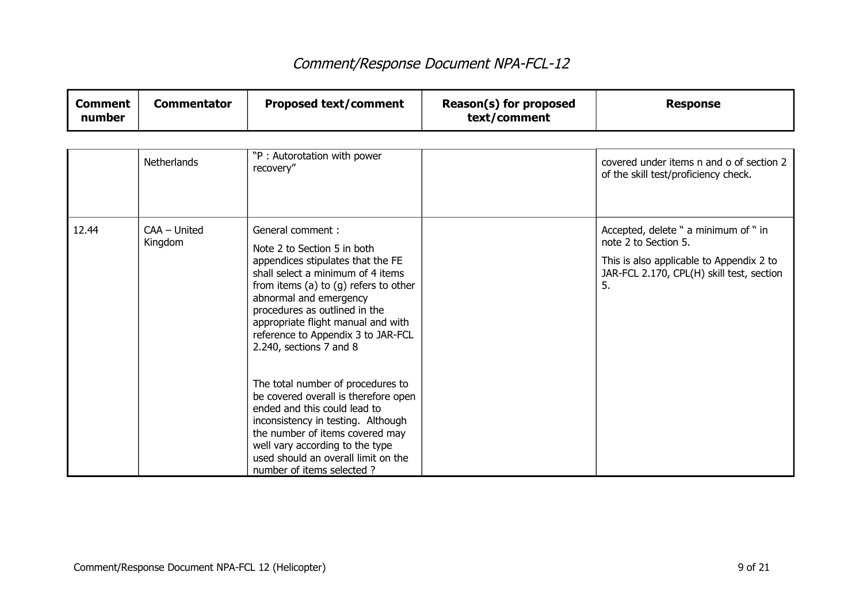┯

| <b>Comment</b><br>number | <b>Commentator</b>      | <b>Proposed text/comment</b>                                                                                                                                                                                                                                                                                                                                                                                                                                                                                                     | Reason(s) for proposed<br>text/comment | <b>Response</b>                                                                                                                                             |
|--------------------------|-------------------------|----------------------------------------------------------------------------------------------------------------------------------------------------------------------------------------------------------------------------------------------------------------------------------------------------------------------------------------------------------------------------------------------------------------------------------------------------------------------------------------------------------------------------------|----------------------------------------|-------------------------------------------------------------------------------------------------------------------------------------------------------------|
|                          | <b>Netherlands</b>      | "P: Autorotation with power<br>recovery"                                                                                                                                                                                                                                                                                                                                                                                                                                                                                         |                                        | covered under items n and o of section 2<br>of the skill test/proficiency check.                                                                            |
| 12.44                    | CAA - United<br>Kingdom | General comment:<br>Note 2 to Section 5 in both<br>appendices stipulates that the FE<br>shall select a minimum of 4 items<br>from items (a) to $(g)$ refers to other<br>abnormal and emergency<br>procedures as outlined in the<br>appropriate flight manual and with<br>reference to Appendix 3 to JAR-FCL<br>2.240, sections $7$ and $8$<br>The total number of procedures to<br>be covered overall is therefore open<br>ended and this could lead to<br>inconsistency in testing. Although<br>the number of items covered may |                                        | Accepted, delete " a minimum of " in<br>note 2 to Section 5.<br>This is also applicable to Appendix 2 to<br>JAR-FCL 2.170, CPL(H) skill test, section<br>5. |
|                          |                         | well vary according to the type<br>used should an overall limit on the<br>number of items selected?                                                                                                                                                                                                                                                                                                                                                                                                                              |                                        |                                                                                                                                                             |

┱

┑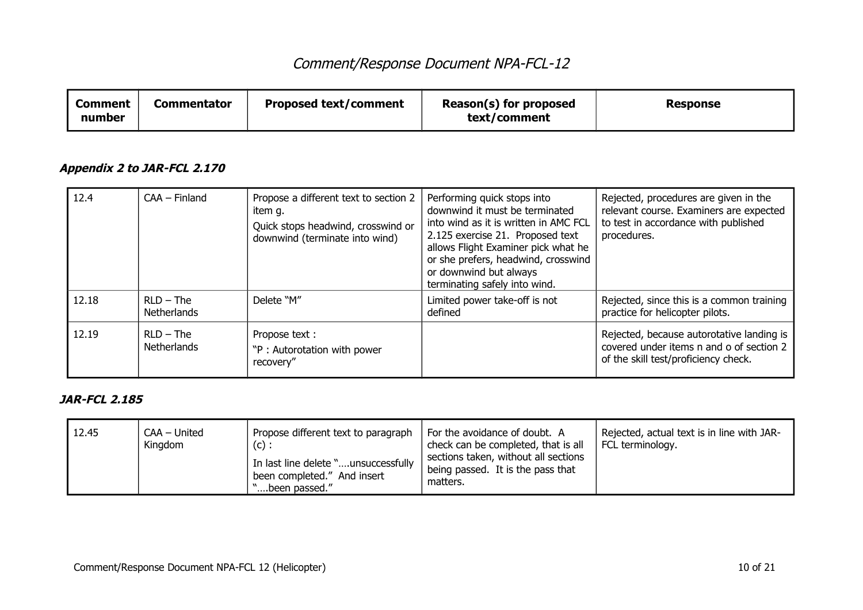| Comment<br>number | Commentator | <b>Proposed text/comment</b> | Reason(s) for proposed<br>text/comment | <b>Response</b> |
|-------------------|-------------|------------------------------|----------------------------------------|-----------------|
|-------------------|-------------|------------------------------|----------------------------------------|-----------------|

### **Appendix 2 to JAR-FCL 2.170**

| 12.4  | $CAA - Finland$                   | Propose a different text to section 2<br>item q.<br>Quick stops headwind, crosswind or<br>downwind (terminate into wind) | Performing quick stops into<br>downwind it must be terminated<br>into wind as it is written in AMC FCL<br>2.125 exercise 21. Proposed text<br>allows Flight Examiner pick what he<br>or she prefers, headwind, crosswind<br>or downwind but always<br>terminating safely into wind. | Rejected, procedures are given in the<br>relevant course. Examiners are expected<br>to test in accordance with published<br>procedures. |
|-------|-----------------------------------|--------------------------------------------------------------------------------------------------------------------------|-------------------------------------------------------------------------------------------------------------------------------------------------------------------------------------------------------------------------------------------------------------------------------------|-----------------------------------------------------------------------------------------------------------------------------------------|
| 12.18 | $RLD - The$<br><b>Netherlands</b> | Delete "M"                                                                                                               | Limited power take-off is not<br>defined                                                                                                                                                                                                                                            | Rejected, since this is a common training<br>practice for helicopter pilots.                                                            |
| 12.19 | $RLD - The$<br><b>Netherlands</b> | Propose text :<br>"P: Autorotation with power<br>recovery"                                                               |                                                                                                                                                                                                                                                                                     | Rejected, because autorotative landing is<br>covered under items n and o of section 2<br>of the skill test/proficiency check.           |

### **JAR-FCL 2.185**

| 12.45 | CAA - United<br>Kingdom | Propose different text to paragraph<br>(c):<br>In last line delete "unsuccessfully<br>been completed." And insert<br>'been passed." | For the avoidance of doubt. A<br>check can be completed, that is all<br>sections taken, without all sections<br>being passed. It is the pass that<br>matters. | Rejected, actual text is in line with JAR-<br>FCL terminology. |
|-------|-------------------------|-------------------------------------------------------------------------------------------------------------------------------------|---------------------------------------------------------------------------------------------------------------------------------------------------------------|----------------------------------------------------------------|
|-------|-------------------------|-------------------------------------------------------------------------------------------------------------------------------------|---------------------------------------------------------------------------------------------------------------------------------------------------------------|----------------------------------------------------------------|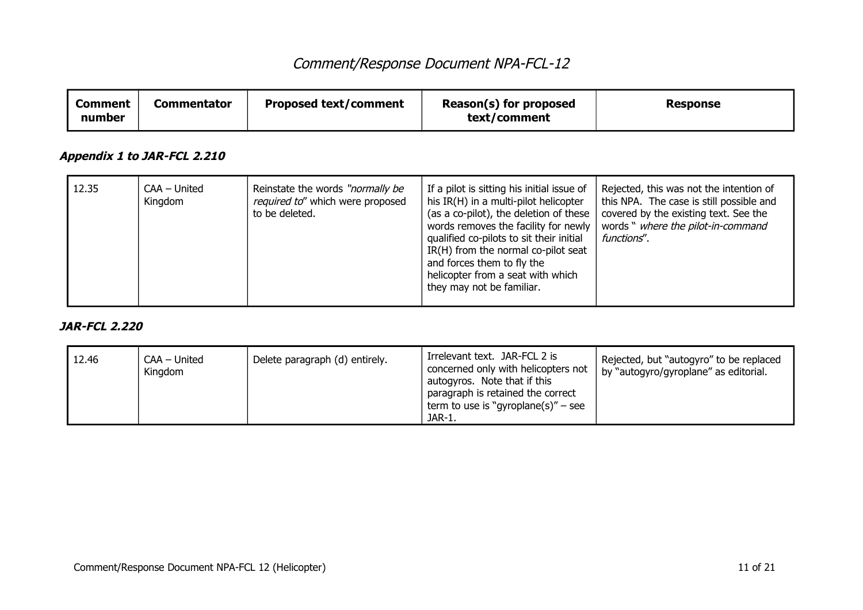| <b>Comment</b><br>number | <b>Commentator</b>          | <b>Proposed text/comment</b>                                                           | Reason(s) for proposed<br>text/comment                                                                                                                                                                                                                                                                                                                   | <b>Response</b>                                                                                                                                                                   |
|--------------------------|-----------------------------|----------------------------------------------------------------------------------------|----------------------------------------------------------------------------------------------------------------------------------------------------------------------------------------------------------------------------------------------------------------------------------------------------------------------------------------------------------|-----------------------------------------------------------------------------------------------------------------------------------------------------------------------------------|
|                          | Appendix 1 to JAR-FCL 2.210 |                                                                                        |                                                                                                                                                                                                                                                                                                                                                          |                                                                                                                                                                                   |
| 12.35                    | CAA – United<br>Kingdom     | Reinstate the words "normally be<br>required to" which were proposed<br>to be deleted. | If a pilot is sitting his initial issue of<br>his IR(H) in a multi-pilot helicopter<br>(as a co-pilot), the deletion of these<br>words removes the facility for newly<br>qualified co-pilots to sit their initial<br>IR(H) from the normal co-pilot seat<br>and forces them to fly the<br>helicopter from a seat with which<br>they may not be familiar. | Rejected, this was not the intention of<br>this NPA. The case is still possible and<br>covered by the existing text. See the<br>words " where the pilot-in-command<br>functions". |

#### **JAR-FCL 2.220**

| Delete paragraph (d) entirely.<br>12.46<br>CAA – United<br>Kingdom | Irrelevant text. JAR-FCL 2 is<br>concerned only with helicopters not<br>autogyros. Note that if this<br>paragraph is retained the correct<br>term to use is "gyroplane(s)" – see<br>JAR-1. | Rejected, but "autogyro" to be replaced<br>by "autogyro/gyroplane" as editorial. |
|--------------------------------------------------------------------|--------------------------------------------------------------------------------------------------------------------------------------------------------------------------------------------|----------------------------------------------------------------------------------|
|--------------------------------------------------------------------|--------------------------------------------------------------------------------------------------------------------------------------------------------------------------------------------|----------------------------------------------------------------------------------|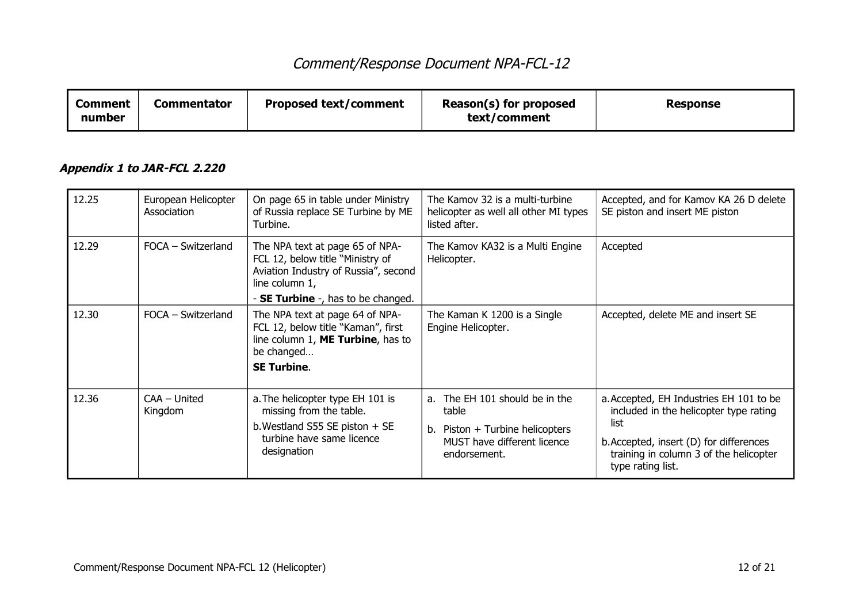| <b>Comment</b><br>number | <b>Commentator</b> | <b>Proposed text/comment</b> | Reason(s) for proposed<br>text/comment | <b>Response</b> |
|--------------------------|--------------------|------------------------------|----------------------------------------|-----------------|
|--------------------------|--------------------|------------------------------|----------------------------------------|-----------------|

### **Appendix 1 to JAR-FCL 2.220**

| 12.25 | European Helicopter<br>Association | On page 65 in table under Ministry<br>of Russia replace SE Turbine by ME<br>Turbine.                                                           | The Kamov 32 is a multi-turbine<br>helicopter as well all other MI types<br>listed after.                                 | Accepted, and for Kamov KA 26 D delete<br>SE piston and insert ME piston                                                                                                                            |
|-------|------------------------------------|------------------------------------------------------------------------------------------------------------------------------------------------|---------------------------------------------------------------------------------------------------------------------------|-----------------------------------------------------------------------------------------------------------------------------------------------------------------------------------------------------|
| 12.29 | FOCA - Switzerland                 | The NPA text at page 65 of NPA-<br>FCL 12, below title "Ministry of<br>Aviation Industry of Russia", second<br>line column 1,                  | The Kamov KA32 is a Multi Engine<br>Helicopter.                                                                           | Accepted                                                                                                                                                                                            |
|       |                                    | - <b>SE Turbine</b> -, has to be changed.                                                                                                      |                                                                                                                           |                                                                                                                                                                                                     |
| 12.30 | FOCA - Switzerland                 | The NPA text at page 64 of NPA-<br>FCL 12, below title "Kaman", first<br>line column 1, ME Turbine, has to<br>be changed<br><b>SE Turbine.</b> | The Kaman K 1200 is a Single<br>Engine Helicopter.                                                                        | Accepted, delete ME and insert SE                                                                                                                                                                   |
| 12.36 | CAA - United<br>Kingdom            | a. The helicopter type EH 101 is<br>missing from the table.<br>b. Westland S55 SE piston $+$ SE<br>turbine have same licence<br>designation    | a. The EH 101 should be in the<br>table<br>b. Piston + Turbine helicopters<br>MUST have different licence<br>endorsement. | a. Accepted, EH Industries EH 101 to be<br>included in the helicopter type rating<br>list<br>b. Accepted, insert (D) for differences<br>training in column 3 of the helicopter<br>type rating list. |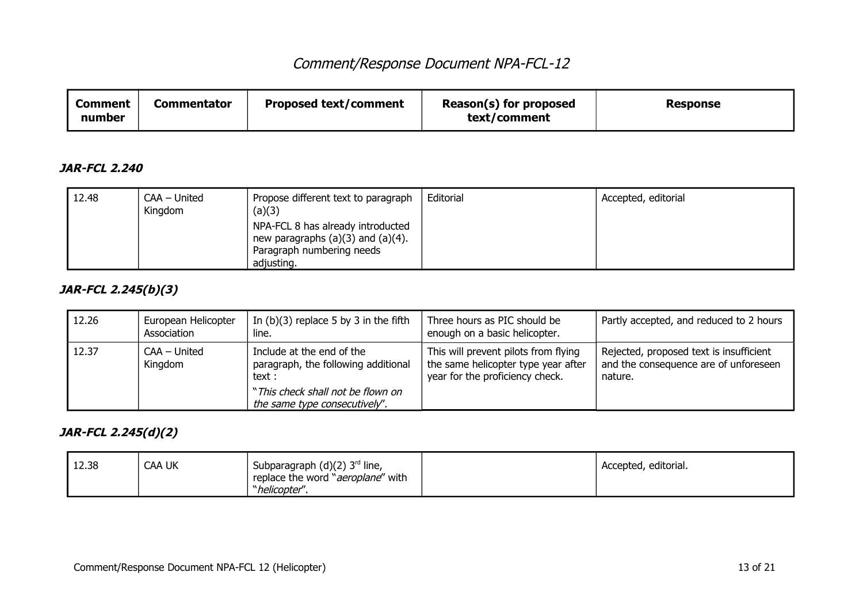| <b>Comment</b><br>number | Commentator | <b>Proposed text/comment</b> | Reason(s) for proposed<br>text/comment | Response |
|--------------------------|-------------|------------------------------|----------------------------------------|----------|
|--------------------------|-------------|------------------------------|----------------------------------------|----------|

#### **JAR-FCL 2.240**

| 12.48 | CAA - United<br>Kingdom | Propose different text to paragraph<br>(a)(3)                                                                          | Editorial | Accepted, editorial |
|-------|-------------------------|------------------------------------------------------------------------------------------------------------------------|-----------|---------------------|
|       |                         | NPA-FCL 8 has already introducted<br>new paragraphs $(a)(3)$ and $(a)(4)$ .<br>Paragraph numbering needs<br>adjusting. |           |                     |

### **JAR-FCL 2.245(b)(3)**

| 12.26 | European Helicopter<br>Association | In $(b)(3)$ replace 5 by 3 in the fifth<br>line.                                                                                                 | Three hours as PIC should be<br>enough on a basic helicopter.                                                  | Partly accepted, and reduced to 2 hours                                                     |
|-------|------------------------------------|--------------------------------------------------------------------------------------------------------------------------------------------------|----------------------------------------------------------------------------------------------------------------|---------------------------------------------------------------------------------------------|
| 12.37 | CAA – United<br>Kingdom            | Include at the end of the<br>paragraph, the following additional<br>text :<br>"This check shall not be flown on<br>the same type consecutively". | This will prevent pilots from flying<br>the same helicopter type year after<br>year for the proficiency check. | Rejected, proposed text is insufficient<br>and the consequence are of unforeseen<br>nature. |

### **JAR-FCL 2.245(d)(2)**

| 12.38 | CAA UK | Subparagraph $(d)(2)$ 3 <sup>rd</sup> line,<br>replace the word " <i>aeroplane</i> " with<br>"helicopter". | <sup>1</sup> Accepted, editorial. |
|-------|--------|------------------------------------------------------------------------------------------------------------|-----------------------------------|
|       |        |                                                                                                            |                                   |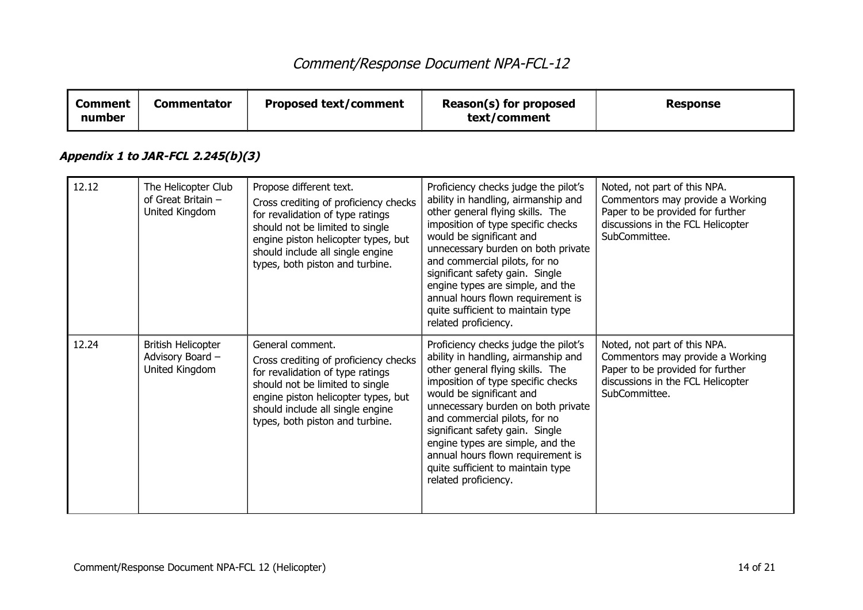| <b>Comment</b><br>number | <b>Commentator</b>                                              | <b>Proposed text/comment</b>                                                                                                                                                                                                                          | Reason(s) for proposed<br>text/comment                                                                                                                                                                                                                                                                                                                                                                                            | <b>Response</b>                                                                                                                                            |
|--------------------------|-----------------------------------------------------------------|-------------------------------------------------------------------------------------------------------------------------------------------------------------------------------------------------------------------------------------------------------|-----------------------------------------------------------------------------------------------------------------------------------------------------------------------------------------------------------------------------------------------------------------------------------------------------------------------------------------------------------------------------------------------------------------------------------|------------------------------------------------------------------------------------------------------------------------------------------------------------|
|                          | Appendix 1 to JAR-FCL 2.245(b)(3)                               |                                                                                                                                                                                                                                                       |                                                                                                                                                                                                                                                                                                                                                                                                                                   |                                                                                                                                                            |
| 12.12                    | The Helicopter Club<br>of Great Britain -<br>United Kingdom     | Propose different text.<br>Cross crediting of proficiency checks<br>for revalidation of type ratings<br>should not be limited to single<br>engine piston helicopter types, but<br>should include all single engine<br>types, both piston and turbine. | Proficiency checks judge the pilot's<br>ability in handling, airmanship and<br>other general flying skills. The<br>imposition of type specific checks<br>would be significant and<br>unnecessary burden on both private<br>and commercial pilots, for no<br>significant safety gain. Single<br>engine types are simple, and the<br>annual hours flown requirement is<br>quite sufficient to maintain type<br>related proficiency. | Noted, not part of this NPA.<br>Commentors may provide a Working<br>Paper to be provided for further<br>discussions in the FCL Helicopter<br>SubCommittee. |
| 12.24                    | <b>British Helicopter</b><br>Advisory Board -<br>United Kingdom | General comment.<br>Cross crediting of proficiency checks<br>for revalidation of type ratings<br>should not be limited to single<br>engine piston helicopter types, but<br>should include all single engine<br>types, both piston and turbine.        | Proficiency checks judge the pilot's<br>ability in handling, airmanship and<br>other general flying skills. The<br>imposition of type specific checks<br>would be significant and<br>unnecessary burden on both private<br>and commercial pilots, for no<br>significant safety gain. Single<br>engine types are simple, and the<br>annual hours flown requirement is<br>quite sufficient to maintain type<br>related proficiency. | Noted, not part of this NPA.<br>Commentors may provide a Working<br>Paper to be provided for further<br>discussions in the FCL Helicopter<br>SubCommittee. |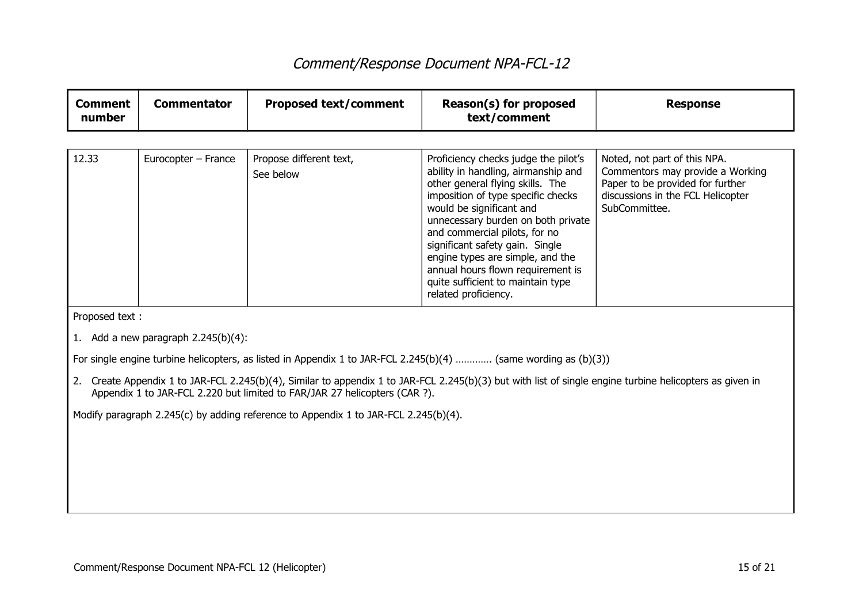| <b>Comment</b><br>number | <b>Commentator</b>                                                                  | <b>Proposed text/comment</b>                                               | Reason(s) for proposed<br>text/comment                                                                                                                                                                                                                                                                                                                                                                                            | <b>Response</b>                                                                                                                                            |  |
|--------------------------|-------------------------------------------------------------------------------------|----------------------------------------------------------------------------|-----------------------------------------------------------------------------------------------------------------------------------------------------------------------------------------------------------------------------------------------------------------------------------------------------------------------------------------------------------------------------------------------------------------------------------|------------------------------------------------------------------------------------------------------------------------------------------------------------|--|
|                          |                                                                                     |                                                                            |                                                                                                                                                                                                                                                                                                                                                                                                                                   |                                                                                                                                                            |  |
| 12.33                    | Eurocopter - France                                                                 | Propose different text,<br>See below                                       | Proficiency checks judge the pilot's<br>ability in handling, airmanship and<br>other general flying skills. The<br>imposition of type specific checks<br>would be significant and<br>unnecessary burden on both private<br>and commercial pilots, for no<br>significant safety gain. Single<br>engine types are simple, and the<br>annual hours flown requirement is<br>quite sufficient to maintain type<br>related proficiency. | Noted, not part of this NPA.<br>Commentors may provide a Working<br>Paper to be provided for further<br>discussions in the FCL Helicopter<br>SubCommittee. |  |
| Proposed text:           |                                                                                     |                                                                            |                                                                                                                                                                                                                                                                                                                                                                                                                                   |                                                                                                                                                            |  |
|                          | 1. Add a new paragraph $2.245(b)(4)$ :                                              |                                                                            |                                                                                                                                                                                                                                                                                                                                                                                                                                   |                                                                                                                                                            |  |
|                          |                                                                                     |                                                                            | For single engine turbine helicopters, as listed in Appendix 1 to JAR-FCL 2.245(b)(4)  (same wording as (b)(3))                                                                                                                                                                                                                                                                                                                   |                                                                                                                                                            |  |
|                          |                                                                                     | Appendix 1 to JAR-FCL 2.220 but limited to FAR/JAR 27 helicopters (CAR ?). | 2. Create Appendix 1 to JAR-FCL 2.245(b)(4), Similar to appendix 1 to JAR-FCL 2.245(b)(3) but with list of single engine turbine helicopters as given in                                                                                                                                                                                                                                                                          |                                                                                                                                                            |  |
|                          | Modify paragraph 2.245(c) by adding reference to Appendix 1 to JAR-FCL 2.245(b)(4). |                                                                            |                                                                                                                                                                                                                                                                                                                                                                                                                                   |                                                                                                                                                            |  |
|                          |                                                                                     |                                                                            |                                                                                                                                                                                                                                                                                                                                                                                                                                   |                                                                                                                                                            |  |
|                          |                                                                                     |                                                                            |                                                                                                                                                                                                                                                                                                                                                                                                                                   |                                                                                                                                                            |  |
|                          |                                                                                     |                                                                            |                                                                                                                                                                                                                                                                                                                                                                                                                                   |                                                                                                                                                            |  |
|                          |                                                                                     |                                                                            |                                                                                                                                                                                                                                                                                                                                                                                                                                   |                                                                                                                                                            |  |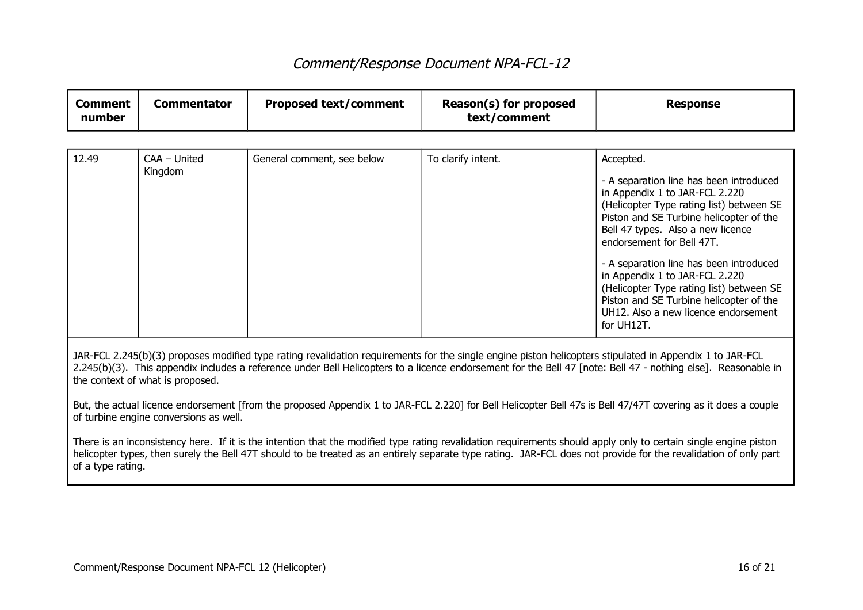| <b>Comment</b><br>number | <b>Commentator</b>                                                                                                                                                                                                                                                                                                                                            | <b>Proposed text/comment</b> | Reason(s) for proposed<br>text/comment | <b>Response</b>                                                                                                                                                                                                                                                                                                                                                                                                                                              |  |
|--------------------------|---------------------------------------------------------------------------------------------------------------------------------------------------------------------------------------------------------------------------------------------------------------------------------------------------------------------------------------------------------------|------------------------------|----------------------------------------|--------------------------------------------------------------------------------------------------------------------------------------------------------------------------------------------------------------------------------------------------------------------------------------------------------------------------------------------------------------------------------------------------------------------------------------------------------------|--|
|                          |                                                                                                                                                                                                                                                                                                                                                               |                              |                                        |                                                                                                                                                                                                                                                                                                                                                                                                                                                              |  |
| 12.49                    | $CAA - United$<br>Kingdom                                                                                                                                                                                                                                                                                                                                     | General comment, see below   | To clarify intent.                     | Accepted.                                                                                                                                                                                                                                                                                                                                                                                                                                                    |  |
|                          |                                                                                                                                                                                                                                                                                                                                                               |                              |                                        | - A separation line has been introduced<br>in Appendix 1 to JAR-FCL 2.220<br>(Helicopter Type rating list) between SE<br>Piston and SE Turbine helicopter of the<br>Bell 47 types. Also a new licence<br>endorsement for Bell 47T.<br>- A separation line has been introduced<br>in Appendix 1 to JAR-FCL 2.220<br>(Helicopter Type rating list) between SE<br>Piston and SE Turbine helicopter of the<br>UH12. Also a new licence endorsement<br>for UH12T. |  |
|                          | JAR-FCL 2.245(b)(3) proposes modified type rating revalidation requirements for the single engine piston helicopters stipulated in Appendix 1 to JAR-FCL<br>2.245(b)(3). This appendix includes a reference under Bell Helicopters to a licence endorsement for the Bell 47 [note: Bell 47 - nothing else]. Reasonable in<br>the context of what is proposed. |                              |                                        |                                                                                                                                                                                                                                                                                                                                                                                                                                                              |  |
|                          | But, the actual licence endorsement [from the proposed Appendix 1 to JAR-FCL 2.220] for Bell Helicopter Bell 47s is Bell 47/47T covering as it does a couple<br>of turbine engine conversions as well.                                                                                                                                                        |                              |                                        |                                                                                                                                                                                                                                                                                                                                                                                                                                                              |  |
| of a type rating.        | There is an inconsistency here. If it is the intention that the modified type rating revalidation requirements should apply only to certain single engine piston<br>helicopter types, then surely the Bell 47T should to be treated as an entirely separate type rating. JAR-FCL does not provide for the revalidation of only part                           |                              |                                        |                                                                                                                                                                                                                                                                                                                                                                                                                                                              |  |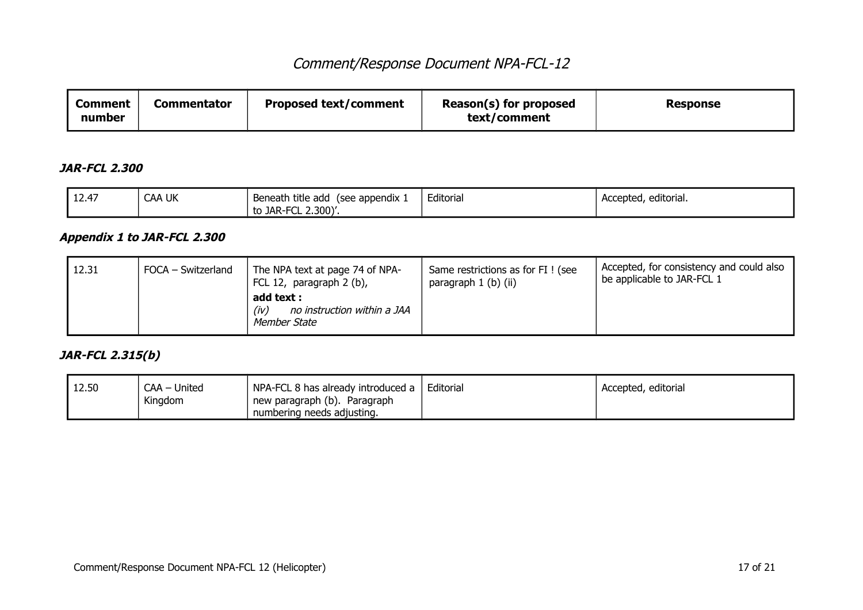| Comment<br>number | <b>Commentator</b> | <b>Proposed text/comment</b> | Reason(s) for proposed<br>text/comment | <b>Response</b> |
|-------------------|--------------------|------------------------------|----------------------------------------|-----------------|
|-------------------|--------------------|------------------------------|----------------------------------------|-----------------|

#### **JAR-FCL 2.300**

| l 17.47<br>' 12.4, | <b>CAA UK</b> | Beneath title add<br>see appendix | Editorial | <br>Accepted, editorial. |
|--------------------|---------------|-----------------------------------|-----------|--------------------------|
|                    |               | -FCL 2.300)'.<br>to JAR-F         |           |                          |

### **Appendix 1 to JAR-FCL 2.300**

| 12.31 | FOCA – Switzerland | The NPA text at page 74 of NPA-<br>FCL 12, paragraph 2 (b),<br>add text :<br>no instruction within a JAA<br>(iv)<br>Member State | Same restrictions as for FI ! (see<br>paragraph 1 (b) (ii) | Accepted, for consistency and could also<br>be applicable to JAR-FCL 1 |
|-------|--------------------|----------------------------------------------------------------------------------------------------------------------------------|------------------------------------------------------------|------------------------------------------------------------------------|
|-------|--------------------|----------------------------------------------------------------------------------------------------------------------------------|------------------------------------------------------------|------------------------------------------------------------------------|

#### **JAR-FCL 2.315(b)**

| 12.50 | $CAA -$<br>United | NPA-FCL 8 has already introduced a | Editorial | Accepted, editorial |
|-------|-------------------|------------------------------------|-----------|---------------------|
|       | Kingdom           | new paragraph (b). Paragraph       |           |                     |
|       |                   | numbering needs adjusting.         |           |                     |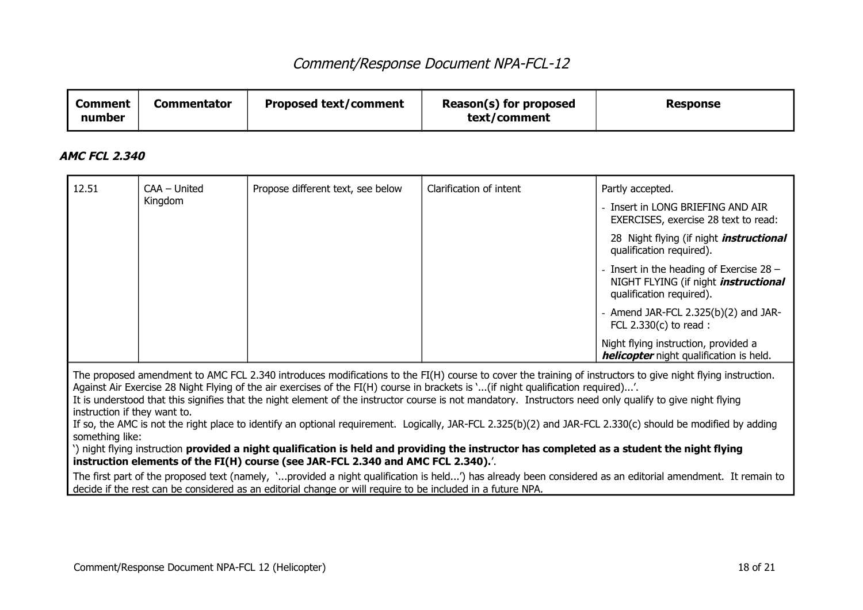| Comment<br>number | Commentator | <b>Proposed text/comment</b> | Reason(s) for proposed<br>text/comment | <b>Response</b> |
|-------------------|-------------|------------------------------|----------------------------------------|-----------------|
|-------------------|-------------|------------------------------|----------------------------------------|-----------------|

#### **AMC FCL 2.340**

| 12.51                                                                                                                                                                                                                                                                                                                                                                                                                                                                                                                                                                                                                                                                           | CAA - United | Propose different text, see below                                                                           | Clarification of intent | Partly accepted.                                                                                                                                           |  |
|---------------------------------------------------------------------------------------------------------------------------------------------------------------------------------------------------------------------------------------------------------------------------------------------------------------------------------------------------------------------------------------------------------------------------------------------------------------------------------------------------------------------------------------------------------------------------------------------------------------------------------------------------------------------------------|--------------|-------------------------------------------------------------------------------------------------------------|-------------------------|------------------------------------------------------------------------------------------------------------------------------------------------------------|--|
|                                                                                                                                                                                                                                                                                                                                                                                                                                                                                                                                                                                                                                                                                 | Kingdom      |                                                                                                             |                         | - Insert in LONG BRIEFING AND AIR<br>EXERCISES, exercise 28 text to read:                                                                                  |  |
|                                                                                                                                                                                                                                                                                                                                                                                                                                                                                                                                                                                                                                                                                 |              |                                                                                                             |                         | 28 Night flying (if night <i>instructional</i><br>qualification required).                                                                                 |  |
|                                                                                                                                                                                                                                                                                                                                                                                                                                                                                                                                                                                                                                                                                 |              |                                                                                                             |                         | - Insert in the heading of Exercise $28 -$<br>NIGHT FLYING (if night <i>instructional</i><br>qualification required).                                      |  |
|                                                                                                                                                                                                                                                                                                                                                                                                                                                                                                                                                                                                                                                                                 |              |                                                                                                             |                         | - Amend JAR-FCL $2.325(b)(2)$ and JAR-<br>FCL $2.330(c)$ to read:                                                                                          |  |
|                                                                                                                                                                                                                                                                                                                                                                                                                                                                                                                                                                                                                                                                                 |              |                                                                                                             |                         | Night flying instruction, provided a<br>helicopter night qualification is held.                                                                            |  |
| The proposed amendment to AMC FCL 2.340 introduces modifications to the FI(H) course to cover the training of instructors to give night flying instruction.<br>Against Air Exercise 28 Night Flying of the air exercises of the FI(H) course in brackets is '(if night qualification required)'.<br>It is understood that this signifies that the night element of the instructor course is not mandatory. Instructors need only qualify to give night flying<br>instruction if they want to.<br>If so, the AMC is not the right place to identify an optional requirement. Logically, JAR-FCL 2.325(b)(2) and JAR-FCL 2.330(c) should be modified by adding<br>something like: |              |                                                                                                             |                         |                                                                                                                                                            |  |
| ) night flying instruction provided a night qualification is held and providing the instructor has completed as a student the night flying<br>instruction elements of the FI(H) course (see JAR-FCL 2.340 and AMC FCL 2.340).                                                                                                                                                                                                                                                                                                                                                                                                                                                   |              |                                                                                                             |                         |                                                                                                                                                            |  |
|                                                                                                                                                                                                                                                                                                                                                                                                                                                                                                                                                                                                                                                                                 |              | decide if the rest can be considered as an editorial change or will require to be included in a future NPA. |                         | The first part of the proposed text (namely, 'provided a night qualification is held') has already been considered as an editorial amendment. It remain to |  |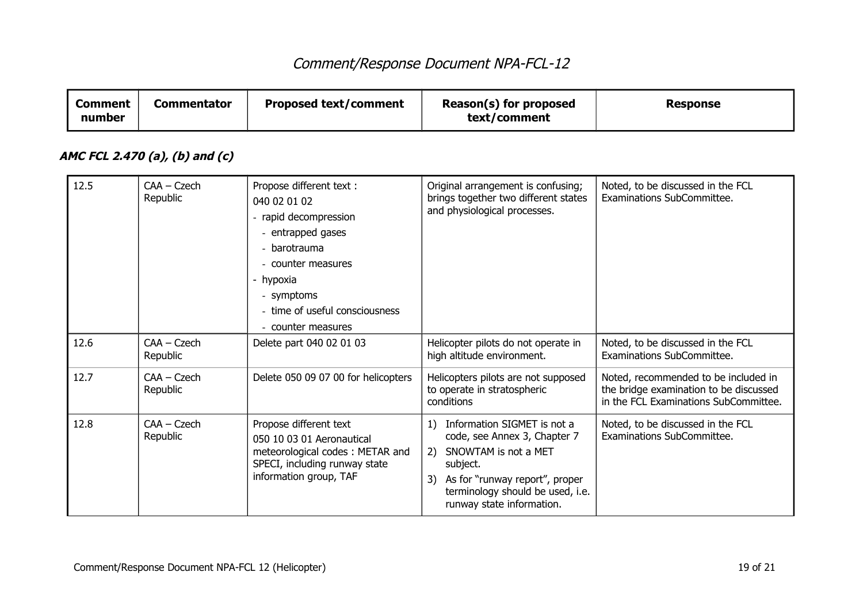| <b>Comment</b><br>number | <b>Commentator</b>             | <b>Proposed text/comment</b>                                                                                                                                                                                    | Reason(s) for proposed<br>text/comment                                                                                                                                                                      | <b>Response</b>                                                                                                         |
|--------------------------|--------------------------------|-----------------------------------------------------------------------------------------------------------------------------------------------------------------------------------------------------------------|-------------------------------------------------------------------------------------------------------------------------------------------------------------------------------------------------------------|-------------------------------------------------------------------------------------------------------------------------|
|                          | AMC FCL 2.470 (a), (b) and (c) |                                                                                                                                                                                                                 |                                                                                                                                                                                                             |                                                                                                                         |
| 12.5                     | $CAA - Czech$<br>Republic      | Propose different text :<br>040 02 01 02<br>- rapid decompression<br>- entrapped gases<br>- barotrauma<br>- counter measures<br>- hypoxia<br>- symptoms<br>- time of useful consciousness<br>- counter measures | Original arrangement is confusing;<br>brings together two different states<br>and physiological processes.                                                                                                  | Noted, to be discussed in the FCL<br>Examinations SubCommittee.                                                         |
| 12.6                     | $CAA - Czech$<br>Republic      | Delete part 040 02 01 03                                                                                                                                                                                        | Helicopter pilots do not operate in<br>high altitude environment.                                                                                                                                           | Noted, to be discussed in the FCL<br>Examinations SubCommittee.                                                         |
| 12.7                     | $CAA - Czech$<br>Republic      | Delete 050 09 07 00 for helicopters                                                                                                                                                                             | Helicopters pilots are not supposed<br>to operate in stratospheric<br>conditions                                                                                                                            | Noted, recommended to be included in<br>the bridge examination to be discussed<br>in the FCL Examinations SubCommittee. |
| 12.8                     | $CAA - Czech$<br>Republic      | Propose different text<br>050 10 03 01 Aeronautical<br>meteorological codes: METAR and<br>SPECI, including runway state<br>information group, TAF                                                               | 1) Information SIGMET is not a<br>code, see Annex 3, Chapter 7<br>2) SNOWTAM is not a MET<br>subject.<br>3) As for "runway report", proper<br>terminology should be used, i.e.<br>runway state information. | Noted, to be discussed in the FCL<br><b>Examinations SubCommittee.</b>                                                  |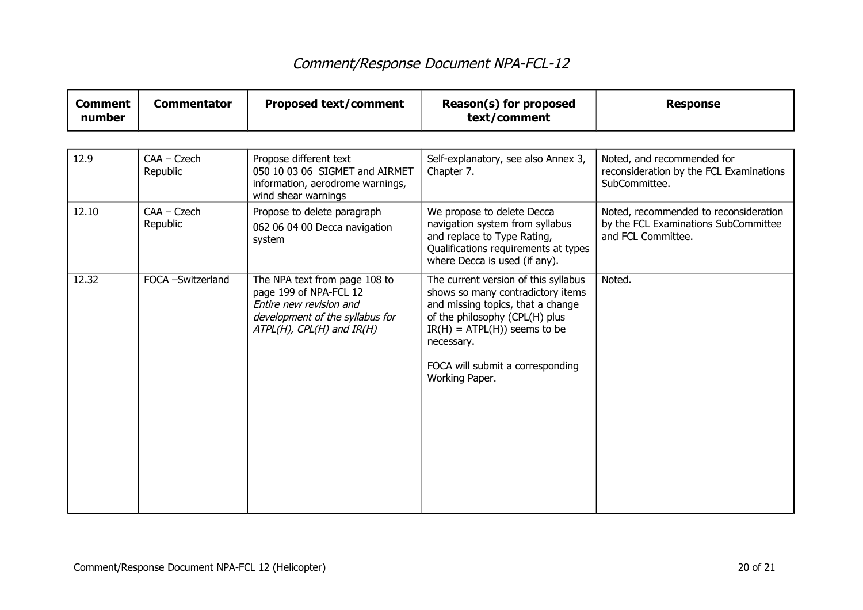| <b>Comment</b><br>number | <b>Commentator</b>        | <b>Proposed text/comment</b>                                                                                                                              | Reason(s) for proposed<br>text/comment                                                                                                                                                                                                                  | <b>Response</b>                                                                                     |
|--------------------------|---------------------------|-----------------------------------------------------------------------------------------------------------------------------------------------------------|---------------------------------------------------------------------------------------------------------------------------------------------------------------------------------------------------------------------------------------------------------|-----------------------------------------------------------------------------------------------------|
|                          |                           |                                                                                                                                                           |                                                                                                                                                                                                                                                         |                                                                                                     |
| 12.9                     | $CAA - Czech$<br>Republic | Propose different text<br>050 10 03 06 SIGMET and AIRMET<br>information, aerodrome warnings,<br>wind shear warnings                                       | Self-explanatory, see also Annex 3,<br>Chapter 7.                                                                                                                                                                                                       | Noted, and recommended for<br>reconsideration by the FCL Examinations<br>SubCommittee.              |
| 12.10                    | $CAA - Czech$<br>Republic | Propose to delete paragraph<br>062 06 04 00 Decca navigation<br>system                                                                                    | We propose to delete Decca<br>navigation system from syllabus<br>and replace to Type Rating,<br>Qualifications requirements at types<br>where Decca is used (if any).                                                                                   | Noted, recommended to reconsideration<br>by the FCL Examinations SubCommittee<br>and FCL Committee. |
| 12.32                    | FOCA -Switzerland         | The NPA text from page 108 to<br>page 199 of NPA-FCL 12<br>Entire new revision and<br>development of the syllabus for<br>$ATPL(H)$ , $CPL(H)$ and $IR(H)$ | The current version of this syllabus<br>shows so many contradictory items<br>and missing topics, that a change<br>of the philosophy (CPL(H) plus<br>$IR(H) = ATPL(H)$ ) seems to be<br>necessary.<br>FOCA will submit a corresponding<br>Working Paper. | Noted.                                                                                              |